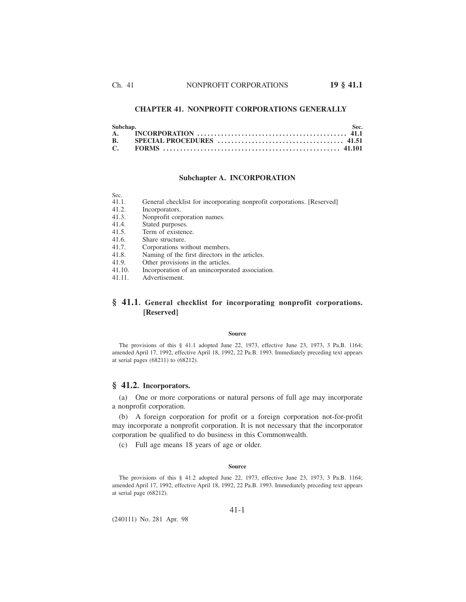# **CHAPTER 41. NONPROFIT CORPORATIONS GENERALLY**

## **Subchapter A. INCORPORATION**

| Sec.   |                                                                        |
|--------|------------------------------------------------------------------------|
| 41.1.  | General checklist for incorporating nonprofit corporations. [Reserved] |
| 41.2.  | Incorporators.                                                         |
| 41.3.  | Nonprofit corporation names.                                           |
| 41.4.  | Stated purposes.                                                       |
| 41.5.  | Term of existence.                                                     |
| 41.6.  | Share structure.                                                       |
| 41.7.  | Corporations without members.                                          |
| 41.8.  | Naming of the first directors in the articles.                         |
| 41.9.  | Other provisions in the articles.                                      |
| 41.10. | Incorporation of an unincorporated association.                        |
| 41.11. | Advertisement.                                                         |

# **§ 41.1. General checklist for incorporating nonprofit corporations. [Reserved]**

## **Source**

The provisions of this § 41.1 adopted June 22, 1973, effective June 23, 1973, 3 Pa.B. 1164; amended April 17, 1992, effective April 18, 1992, 22 Pa.B. 1993. Immediately preceding text appears at serial pages (68211) to (68212).

# **§ 41.2. Incorporators.**

(a) One or more corporations or natural persons of full age may incorporate a nonprofit corporation.

(b) A foreign corporation for profit or a foreign corporation not-for-profit may incorporate a nonprofit corporation. It is not necessary that the incorporator corporation be qualified to do business in this Commonwealth.

(c) Full age means 18 years of age or older.

#### **Source**

The provisions of this § 41.2 adopted June 22, 1973, effective June 23, 1973, 3 Pa.B. 1164; amended April 17, 1992, effective April 18, 1992, 22 Pa.B. 1993. Immediately preceding text appears at serial page (68212).

(240111) No. 281 Apr. 98

#### 41-1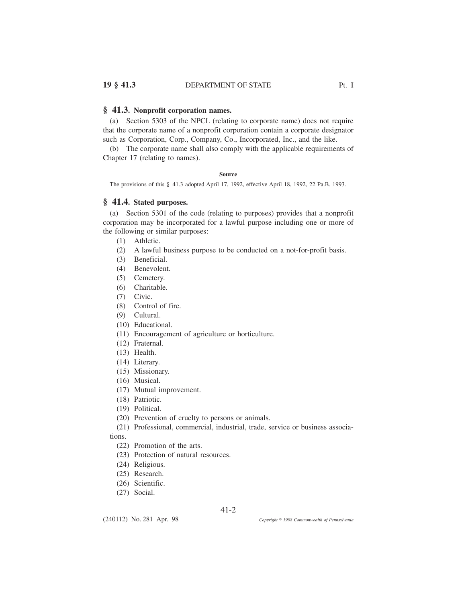# **§ 41.3. Nonprofit corporation names.**

(a) Section 5303 of the NPCL (relating to corporate name) does not require that the corporate name of a nonprofit corporation contain a corporate designator such as Corporation, Corp., Company, Co., Incorporated, Inc., and the like.

(b) The corporate name shall also comply with the applicable requirements of Chapter 17 (relating to names).

# **Source**

The provisions of this § 41.3 adopted April 17, 1992, effective April 18, 1992, 22 Pa.B. 1993.

# **§ 41.4. Stated purposes.**

(a) Section 5301 of the code (relating to purposes) provides that a nonprofit corporation may be incorporated for a lawful purpose including one or more of the following or similar purposes:

- (1) Athletic.
- (2) A lawful business purpose to be conducted on a not-for-profit basis.
- (3) Beneficial.
- (4) Benevolent.
- (5) Cemetery.
- (6) Charitable.
- (7) Civic.
- (8) Control of fire.
- (9) Cultural.
- (10) Educational.
- (11) Encouragement of agriculture or horticulture.
- (12) Fraternal.
- (13) Health.
- (14) Literary.
- (15) Missionary.
- (16) Musical.
- (17) Mutual improvement.
- (18) Patriotic.
- (19) Political.
- (20) Prevention of cruelty to persons or animals.

(21) Professional, commercial, industrial, trade, service or business associa-

tions.

- (22) Promotion of the arts.
- (23) Protection of natural resources.
- (24) Religious.
- (25) Research.
- (26) Scientific.

(240112) No. 281 Apr. 98

(27) Social.

41-2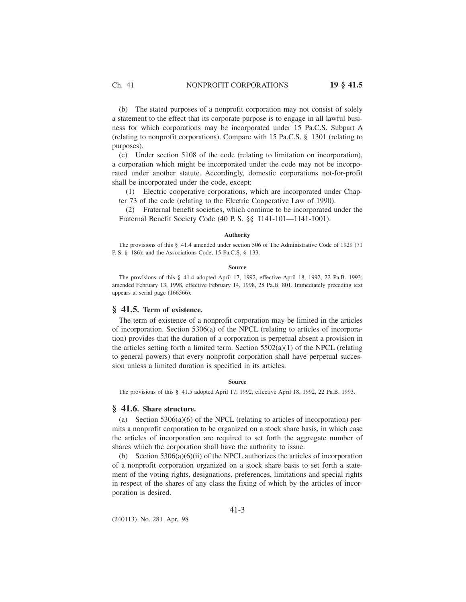(b) The stated purposes of a nonprofit corporation may not consist of solely a statement to the effect that its corporate purpose is to engage in all lawful business for which corporations may be incorporated under 15 Pa.C.S. Subpart A (relating to nonprofit corporations). Compare with 15 Pa.C.S. § 1301 (relating to purposes).

(c) Under section 5108 of the code (relating to limitation on incorporation), a corporation which might be incorporated under the code may not be incorporated under another statute. Accordingly, domestic corporations not-for-profit shall be incorporated under the code, except:

(1) Electric cooperative corporations, which are incorporated under Chapter 73 of the code (relating to the Electric Cooperative Law of 1990).

(2) Fraternal benefit societies, which continue to be incorporated under the Fraternal Benefit Society Code (40 P. S. §§ 1141-101—1141-1001).

### **Authority**

The provisions of this § 41.4 amended under section 506 of The Administrative Code of 1929 (71 P. S. § 186); and the Associations Code, 15 Pa.C.S. § 133.

#### **Source**

The provisions of this § 41.4 adopted April 17, 1992, effective April 18, 1992, 22 Pa.B. 1993; amended February 13, 1998, effective February 14, 1998, 28 Pa.B. 801. Immediately preceding text appears at serial page (166566).

# **§ 41.5. Term of existence.**

The term of existence of a nonprofit corporation may be limited in the articles of incorporation. Section 5306(a) of the NPCL (relating to articles of incorporation) provides that the duration of a corporation is perpetual absent a provision in the articles setting forth a limited term. Section  $5502(a)(1)$  of the NPCL (relating to general powers) that every nonprofit corporation shall have perpetual succession unless a limited duration is specified in its articles.

#### **Source**

The provisions of this § 41.5 adopted April 17, 1992, effective April 18, 1992, 22 Pa.B. 1993.

# **§ 41.6. Share structure.**

(a) Section 5306(a)(6) of the NPCL (relating to articles of incorporation) permits a nonprofit corporation to be organized on a stock share basis, in which case the articles of incorporation are required to set forth the aggregate number of shares which the corporation shall have the authority to issue.

(b) Section 5306(a)(6)(ii) of the NPCL authorizes the articles of incorporation of a nonprofit corporation organized on a stock share basis to set forth a statement of the voting rights, designations, preferences, limitations and special rights in respect of the shares of any class the fixing of which by the articles of incorporation is desired.

(240113) No. 281 Apr. 98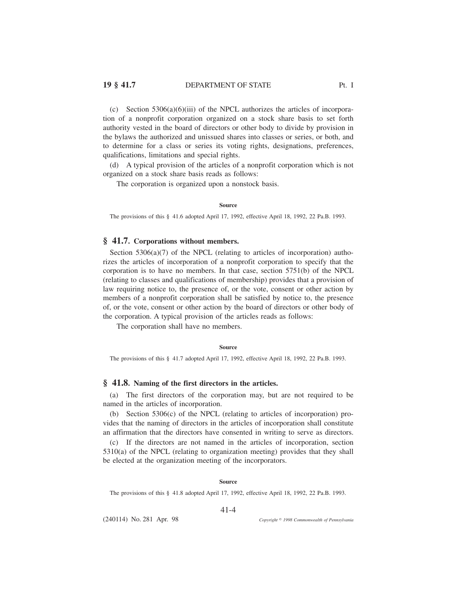(c) Section  $5306(a)(6)(iii)$  of the NPCL authorizes the articles of incorporation of a nonprofit corporation organized on a stock share basis to set forth authority vested in the board of directors or other body to divide by provision in the bylaws the authorized and unissued shares into classes or series, or both, and to determine for a class or series its voting rights, designations, preferences, qualifications, limitations and special rights.

(d) A typical provision of the articles of a nonprofit corporation which is not organized on a stock share basis reads as follows:

The corporation is organized upon a nonstock basis.

#### **Source**

The provisions of this § 41.6 adopted April 17, 1992, effective April 18, 1992, 22 Pa.B. 1993.

# **§ 41.7. Corporations without members.**

Section  $5306(a)(7)$  of the NPCL (relating to articles of incorporation) authorizes the articles of incorporation of a nonprofit corporation to specify that the corporation is to have no members. In that case, section 5751(b) of the NPCL (relating to classes and qualifications of membership) provides that a provision of law requiring notice to, the presence of, or the vote, consent or other action by members of a nonprofit corporation shall be satisfied by notice to, the presence of, or the vote, consent or other action by the board of directors or other body of the corporation. A typical provision of the articles reads as follows:

The corporation shall have no members.

### **Source**

The provisions of this § 41.7 adopted April 17, 1992, effective April 18, 1992, 22 Pa.B. 1993.

# **§ 41.8. Naming of the first directors in the articles.**

(a) The first directors of the corporation may, but are not required to be named in the articles of incorporation.

(b) Section 5306(c) of the NPCL (relating to articles of incorporation) provides that the naming of directors in the articles of incorporation shall constitute an affirmation that the directors have consented in writing to serve as directors.

(c) If the directors are not named in the articles of incorporation, section 5310(a) of the NPCL (relating to organization meeting) provides that they shall be elected at the organization meeting of the incorporators.

#### **Source**

The provisions of this § 41.8 adopted April 17, 1992, effective April 18, 1992, 22 Pa.B. 1993.

## 41-4

(240114) No. 281 Apr. 98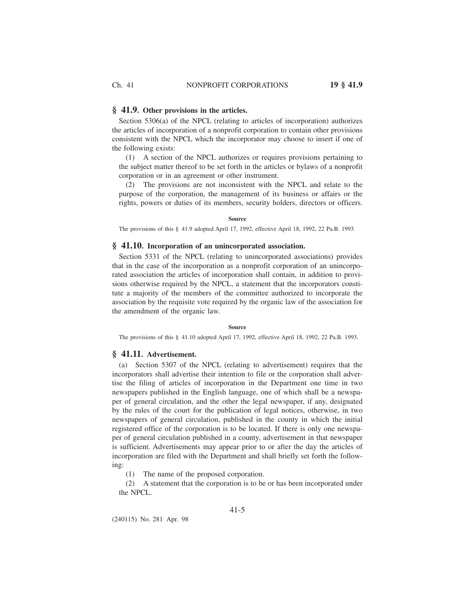# **§ 41.9. Other provisions in the articles.**

Section 5306(a) of the NPCL (relating to articles of incorporation) authorizes the articles of incorporation of a nonprofit corporation to contain other provisions consistent with the NPCL which the incorporator may choose to insert if one of the following exists:

(1) A section of the NPCL authorizes or requires provisions pertaining to the subject matter thereof to be set forth in the articles or bylaws of a nonprofit corporation or in an agreement or other instrument.

(2) The provisions are not inconsistent with the NPCL and relate to the purpose of the corporation, the management of its business or affairs or the rights, powers or duties of its members, security holders, directors or officers.

**Source**

The provisions of this § 41.9 adopted April 17, 1992, effective April 18, 1992, 22 Pa.B. 1993.

# **§ 41.10. Incorporation of an unincorporated association.**

Section 5331 of the NPCL (relating to unincorporated associations) provides that in the case of the incorporation as a nonprofit corporation of an unincorporated association the articles of incorporation shall contain, in addition to provisions otherwise required by the NPCL, a statement that the incorporators constitute a majority of the members of the committee authorized to incorporate the association by the requisite vote required by the organic law of the association for the amendment of the organic law.

#### **Source**

The provisions of this § 41.10 adopted April 17, 1992, effective April 18, 1992, 22 Pa.B. 1993.

## **§ 41.11. Advertisement.**

(a) Section 5307 of the NPCL (relating to advertisement) requires that the incorporators shall advertise their intention to file or the corporation shall advertise the filing of articles of incorporation in the Department one time in two newspapers published in the English language, one of which shall be a newspaper of general circulation, and the other the legal newspaper, if any, designated by the rules of the court for the publication of legal notices, otherwise, in two newspapers of general circulation, published in the county in which the initial registered office of the corporation is to be located. If there is only one newspaper of general circulation published in a county, advertisement in that newspaper is sufficient. Advertisements may appear prior to or after the day the articles of incorporation are filed with the Department and shall briefly set forth the following:

(1) The name of the proposed corporation.

(2) A statement that the corporation is to be or has been incorporated under the NPCL.

(240115) No. 281 Apr. 98

41-5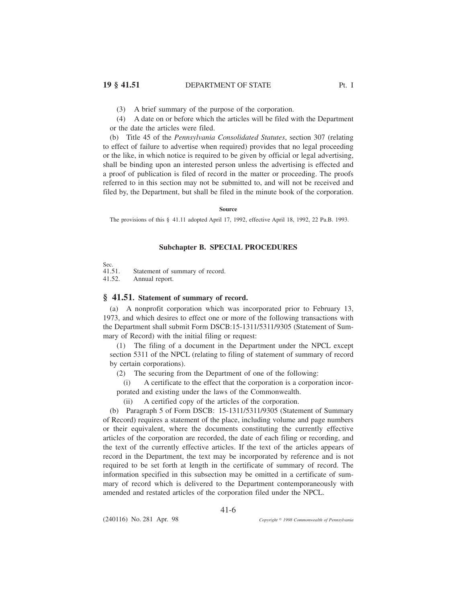(3) A brief summary of the purpose of the corporation.

(4) A date on or before which the articles will be filed with the Department or the date the articles were filed.

(b) Title 45 of the *Pennsylvania Consolidated Statutes*, section 307 (relating to effect of failure to advertise when required) provides that no legal proceeding or the like, in which notice is required to be given by official or legal advertising, shall be binding upon an interested person unless the advertising is effected and a proof of publication is filed of record in the matter or proceeding. The proofs referred to in this section may not be submitted to, and will not be received and filed by, the Department, but shall be filed in the minute book of the corporation.

**Source**

The provisions of this § 41.11 adopted April 17, 1992, effective April 18, 1992, 22 Pa.B. 1993.

# **Subchapter B. SPECIAL PROCEDURES**

Sec.<br>41.51.

Statement of summary of record.

41.52. Annual report.

# **§ 41.51. Statement of summary of record.**

(a) A nonprofit corporation which was incorporated prior to February 13, 1973, and which desires to effect one or more of the following transactions with the Department shall submit Form DSCB:15-1311/5311/9305 (Statement of Summary of Record) with the initial filing or request:

(1) The filing of a document in the Department under the NPCL except section 5311 of the NPCL (relating to filing of statement of summary of record by certain corporations).

(2) The securing from the Department of one of the following:

(i) A certificate to the effect that the corporation is a corporation incorporated and existing under the laws of the Commonwealth.

(ii) A certified copy of the articles of the corporation.

(b) Paragraph 5 of Form DSCB: 15-1311/5311/9305 (Statement of Summary of Record) requires a statement of the place, including volume and page numbers or their equivalent, where the documents constituting the currently effective articles of the corporation are recorded, the date of each filing or recording, and the text of the currently effective articles. If the text of the articles appears of record in the Department, the text may be incorporated by reference and is not required to be set forth at length in the certificate of summary of record. The information specified in this subsection may be omitted in a certificate of summary of record which is delivered to the Department contemporaneously with amended and restated articles of the corporation filed under the NPCL.

41-6

(240116) No. 281 Apr. 98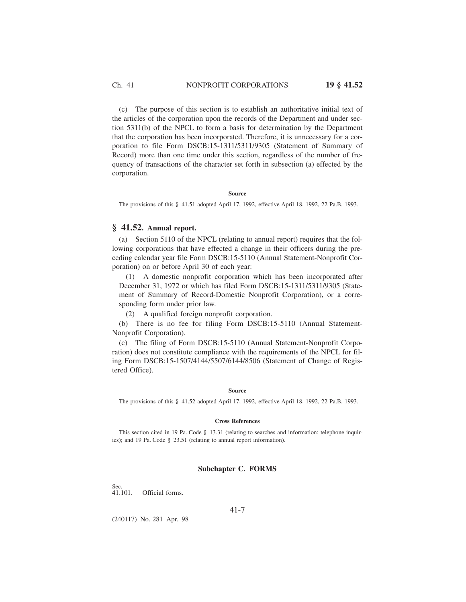Ch. 41 NONPROFIT CORPORATIONS **19 § 41.52**

(c) The purpose of this section is to establish an authoritative initial text of the articles of the corporation upon the records of the Department and under section 5311(b) of the NPCL to form a basis for determination by the Department that the corporation has been incorporated. Therefore, it is unnecessary for a corporation to file Form DSCB:15-1311/5311/9305 (Statement of Summary of Record) more than one time under this section, regardless of the number of frequency of transactions of the character set forth in subsection (a) effected by the corporation.

#### **Source**

The provisions of this § 41.51 adopted April 17, 1992, effective April 18, 1992, 22 Pa.B. 1993.

# **§ 41.52. Annual report.**

(a) Section 5110 of the NPCL (relating to annual report) requires that the following corporations that have effected a change in their officers during the preceding calendar year file Form DSCB:15-5110 (Annual Statement-Nonprofit Corporation) on or before April 30 of each year:

(1) A domestic nonprofit corporation which has been incorporated after December 31, 1972 or which has filed Form DSCB:15-1311/5311/9305 (Statement of Summary of Record-Domestic Nonprofit Corporation), or a corresponding form under prior law.

(2) A qualified foreign nonprofit corporation.

(b) There is no fee for filing Form DSCB:15-5110 (Annual Statement-Nonprofit Corporation).

(c) The filing of Form DSCB:15-5110 (Annual Statement-Nonprofit Corporation) does not constitute compliance with the requirements of the NPCL for filing Form DSCB:15-1507/4144/5507/6144/8506 (Statement of Change of Registered Office).

#### **Source**

The provisions of this § 41.52 adopted April 17, 1992, effective April 18, 1992, 22 Pa.B. 1993.

### **Cross References**

This section cited in 19 Pa. Code § 13.31 (relating to searches and information; telephone inquiries); and 19 Pa. Code § 23.51 (relating to annual report information).

# **Subchapter C. FORMS**

Sec.<br>41.101. Official forms.

41-7

(240117) No. 281 Apr. 98